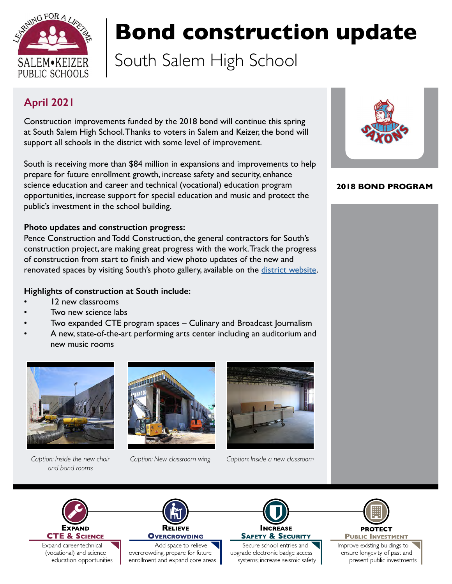

# **Bond construction update**

South Salem High School

### **April 2021**

Construction improvements funded by the 2018 bond will continue this spring at South Salem High School. Thanks to voters in Salem and Keizer, the bond will support all schools in the district with some level of improvement.

South is receiving more than \$84 million in expansions and improvements to help prepare for future enrollment growth, increase safety and security, enhance science education and career and technical (vocational) education program opportunities, increase support for special education and music and protect the public's investment in the school building.

#### **Photo updates and construction progress:**

Pence Construction and Todd Construction, the general contractors for South's construction project, are making great progress with the work. Track the progress of construction from start to finish and view photo updates of the new and renovated spaces by visiting South's photo gallery, available on the [district website.](https://salkeiz.k12.or.us/south-salem-bond/south-construction-photos/)

#### **Highlights of construction at South include:**

- 12 new classrooms
- Two new science labs
- Two expanded CTE program spaces Culinary and Broadcast Journalism
- A new, state-of-the-art performing arts center including an auditorium and new music rooms



*and band rooms*





*Caption: Inside the new choir Caption: New classroom wing Caption: Inside a new classroom*



#### **2018 BOND PROGRAM**





Expand career-technical (vocational) and science education opportunities



overcrowding, prepare for future enrollment and expand core areas



Secure school entries and upgrade electronic badge access systems; increase seismic safety



**PUBLIC INVESTMENT** 

Improve existing buldings to ensure longevity of past and present public investments